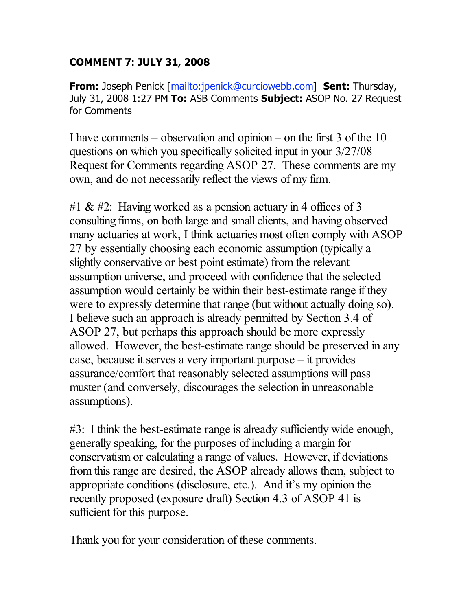## **COMMENT 7: JULY 31, 2008**

**From:** Joseph Penick [mailto:jpenick@curciowebb.com] **Sent:** Thursday, July 31, 2008 1:27 PM **To:** ASB Comments **Subject:** ASOP No. 27 Request for Comments

I have comments – observation and opinion – on the first 3 of the 10 questions on which you specifically solicited input in your 3/27/08 Request for Comments regarding ASOP 27. These comments are my own, and do not necessarily reflect the views of my firm.

#1 & #2: Having worked as a pension actuary in 4 offices of 3 consulting firms, on both large and small clients, and having observed many actuaries at work, I think actuaries most often comply with ASOP 27 by essentially choosing each economic assumption (typically a slightly conservative or best point estimate) from the relevant assumption universe, and proceed with confidence that the selected assumption would certainly be within their best-estimate range if they were to expressly determine that range (but without actually doing so). I believe such an approach is already permitted by Section 3.4 of ASOP 27, but perhaps this approach should be more expressly allowed. However, the best-estimate range should be preserved in any case, because it serves a very important purpose – it provides assurance/comfort that reasonably selected assumptions will pass muster (and conversely, discourages the selection in unreasonable assumptions).

#3: I think the best-estimate range is already sufficiently wide enough, generally speaking, for the purposes of including a margin for conservatism or calculating a range of values. However, if deviations from this range are desired, the ASOP already allows them, subject to appropriate conditions (disclosure, etc.). And it's my opinion the recently proposed (exposure draft) Section 4.3 of ASOP 41 is sufficient for this purpose.

Thank you for your consideration of these comments.